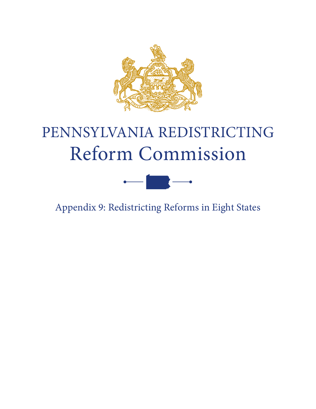

# PENNSYLVANIA REDISTRICTING Reform Commission



Appendix 9: Redistricting Reforms in Eight States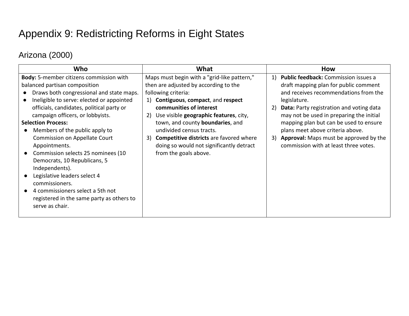# Appendix 9: Redistricting Reforms in Eight States

# Arizona (2000)

| Maps must begin with a "grid-like pattern,"<br>Body: 5-member citizens commission with<br>Public feedback: Commission issues a<br>1)<br>balanced partisan composition<br>then are adjusted by according to the<br>draft mapping plan for public comment<br>and receives recommendations from the<br>Draws both congressional and state maps.<br>following criteria:<br>Ineligible to serve: elected or appointed<br>Contiguous, compact, and respect<br>legislature.<br><sup>1</sup>                                                                                                                                                                                                                                                                                                                                                                                                                                                                                                                                    | Who |
|-------------------------------------------------------------------------------------------------------------------------------------------------------------------------------------------------------------------------------------------------------------------------------------------------------------------------------------------------------------------------------------------------------------------------------------------------------------------------------------------------------------------------------------------------------------------------------------------------------------------------------------------------------------------------------------------------------------------------------------------------------------------------------------------------------------------------------------------------------------------------------------------------------------------------------------------------------------------------------------------------------------------------|-----|
| officials, candidates, political party or<br>communities of interest<br><b>Data:</b> Party registration and voting data<br>2)<br>campaign officers, or lobbyists.<br>Use visible geographic features, city,<br>may not be used in preparing the initial<br>2)<br><b>Selection Process:</b><br>town, and county boundaries, and<br>mapping plan but can be used to ensure<br>Members of the public apply to<br>undivided census tracts.<br>plans meet above criteria above.<br>3) Approval: Maps must be approved by the<br>Commission on Appellate Court<br><b>Competitive districts</b> are favored where<br>3)<br>doing so would not significantly detract<br>commission with at least three votes.<br>Appointments.<br>Commission selects 25 nominees (10<br>from the goals above.<br>$\bullet$<br>Democrats, 10 Republicans, 5<br>Independents).<br>Legislative leaders select 4<br>commissioners.<br>4 commissioners select a 5th not<br>$\bullet$<br>registered in the same party as others to<br>serve as chair. |     |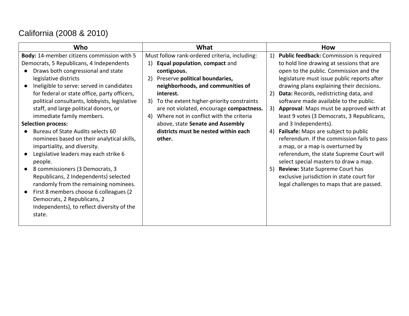# California (2008 & 2010)

| Who                                           | What                                          | <b>How</b>                                    |
|-----------------------------------------------|-----------------------------------------------|-----------------------------------------------|
| Body: 14-member citizens commission with 5    | Must follow rank-ordered criteria, including: | Public feedback: Commission is required<br>1) |
| Democrats, 5 Republicans, 4 Independents      | Equal population, compact and<br>1)           | to hold line drawing at sessions that are     |
| Draws both congressional and state            | contiguous.                                   | open to the public. Commission and the        |
| legislative districts                         | Preserve political boundaries,<br>2)          | legislature must issue public reports after   |
| Ineligible to serve: served in candidates     | neighborhoods, and communities of             | drawing plans explaining their decisions.     |
| for federal or state office, party officers,  | interest.                                     | 2) Data: Records, redistricting data, and     |
| political consultants, lobbyists, legislative | 3) To the extent higher-priority constraints  | software made available to the public.        |
| staff, and large political donors, or         | are not violated, encourage compactness.      | 3) Approval: Maps must be approved with at    |
| immediate family members.                     | Where not in conflict with the criteria<br>4) | least 9 votes (3 Democrats, 3 Republicans,    |
| <b>Selection process:</b>                     | above, state Senate and Assembly              | and 3 Independents).                          |
| Bureau of State Audits selects 60             | districts must be nested within each          | 4) Failsafe: Maps are subject to public       |
| nominees based on their analytical skills,    | other.                                        | referendum. If the commission fails to pass   |
| impartiality, and diversity.                  |                                               | a map, or a map is overturned by              |
| Legislative leaders may each strike 6         |                                               | referendum, the state Supreme Court will      |
| people.                                       |                                               | select special masters to draw a map.         |
| 8 commissioners (3 Democrats, 3               |                                               | 5) Review: State Supreme Court has            |
| Republicans, 2 Independents) selected         |                                               | exclusive jurisdiction in state court for     |
| randomly from the remaining nominees.         |                                               | legal challenges to maps that are passed.     |
| First 8 members choose 6 colleagues (2        |                                               |                                               |
| Democrats, 2 Republicans, 2                   |                                               |                                               |
| Independents), to reflect diversity of the    |                                               |                                               |
| state.                                        |                                               |                                               |
|                                               |                                               |                                               |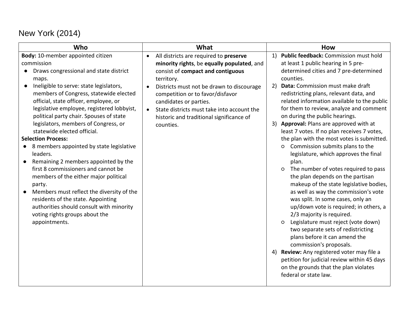# New York (2014)

|                                                                                                                                                                                                                                                                                                                                                                                                                                                                                                                                                                                                                                                                                                                                                                                                                                                                                                                                                                                                                                                                                                                                                                                                                                                                                                                                                                                                                                                                                                                                                                                                                                                                                                          | Who                                            | <b>How</b>                                                                                                                                                                                                                                                                                                                                                                                                                                                                                                                                                                                                                                           |
|----------------------------------------------------------------------------------------------------------------------------------------------------------------------------------------------------------------------------------------------------------------------------------------------------------------------------------------------------------------------------------------------------------------------------------------------------------------------------------------------------------------------------------------------------------------------------------------------------------------------------------------------------------------------------------------------------------------------------------------------------------------------------------------------------------------------------------------------------------------------------------------------------------------------------------------------------------------------------------------------------------------------------------------------------------------------------------------------------------------------------------------------------------------------------------------------------------------------------------------------------------------------------------------------------------------------------------------------------------------------------------------------------------------------------------------------------------------------------------------------------------------------------------------------------------------------------------------------------------------------------------------------------------------------------------------------------------|------------------------------------------------|------------------------------------------------------------------------------------------------------------------------------------------------------------------------------------------------------------------------------------------------------------------------------------------------------------------------------------------------------------------------------------------------------------------------------------------------------------------------------------------------------------------------------------------------------------------------------------------------------------------------------------------------------|
| All districts are required to preserve<br>at least 1 public hearing in 5 pre-<br>commission<br>minority rights, be equally populated, and<br>Draws congressional and state district<br>consist of compact and contiguous<br>counties.<br>territory.<br>maps.<br>Ineligible to serve: state legislators,<br>Data: Commission must make draft<br>2)<br>Districts must not be drawn to discourage<br>$\bullet$<br>members of Congress, statewide elected<br>redistricting plans, relevant data, and<br>competition or to favor/disfavor<br>official, state officer, employee, or<br>candidates or parties.<br>legislative employee, registered lobbyist,<br>State districts must take into account the<br>political party chair. Spouses of state<br>on during the public hearings.<br>historic and traditional significance of<br>legislators, members of Congress, or<br>3) Approval: Plans are approved with at<br>counties.<br>statewide elected official.<br><b>Selection Process:</b><br>Commission submits plans to the<br>8 members appointed by state legislative<br>$\circ$<br>leaders.<br>Remaining 2 members appointed by the<br>plan.<br>first 8 commissioners and cannot be<br>$\circ$<br>the plan depends on the partisan<br>members of the either major political<br>party.<br>Members must reflect the diversity of the<br>residents of the state. Appointing<br>was split. In some cases, only an<br>authorities should consult with minority<br>voting rights groups about the<br>2/3 majority is required.<br>appointments.<br>$\circ$<br>two separate sets of redistricting<br>plans before it can amend the<br>commission's proposals.<br>4)<br>on the grounds that the plan violates | Body: 10-member appointed citizen<br>$\bullet$ | Public feedback: Commission must hold<br>1)<br>determined cities and 7 pre-determined<br>related information available to the public<br>for them to review, analyze and comment<br>least 7 votes. If no plan receives 7 votes,<br>the plan with the most votes is submitted.<br>legislature, which approves the final<br>The number of votes required to pass<br>makeup of the state legislative bodies,<br>as well as way the commission's vote<br>up/down vote is required; in others, a<br>Legislature must reject (vote down)<br>Review: Any registered voter may file a<br>petition for judicial review within 45 days<br>federal or state law. |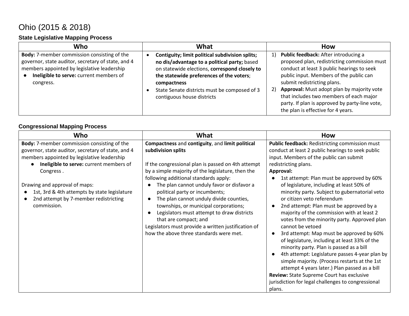# Ohio (2015 & 2018)

#### **State Legislative Mapping Process**

| Who                                                                                                                                                                                                             | What                                                                                                                                                                                                                                                                                      | <b>How</b>                                                                                                                                                                                                                                                                                                                                                                                                |
|-----------------------------------------------------------------------------------------------------------------------------------------------------------------------------------------------------------------|-------------------------------------------------------------------------------------------------------------------------------------------------------------------------------------------------------------------------------------------------------------------------------------------|-----------------------------------------------------------------------------------------------------------------------------------------------------------------------------------------------------------------------------------------------------------------------------------------------------------------------------------------------------------------------------------------------------------|
| <b>Body:</b> 7-member commission consisting of the<br>governor, state auditor, secretary of state, and 4<br>members appointed by legislative leadership<br>Ineligible to serve: current members of<br>congress. | Contiguity; limit political subdivision splits;<br>no dis/advantage to a political party; based<br>on statewide elections, correspond closely to<br>the statewide preferences of the voters;<br>compactness<br>State Senate districts must be composed of 3<br>contiguous house districts | Public feedback: After introducing a<br>1)<br>proposed plan, redistricting commission must<br>conduct at least 3 public hearings to seek<br>public input. Members of the public can<br>submit redistricting plans.<br>Approval: Must adopt plan by majority vote<br>2)<br>that includes two members of each major<br>party. If plan is approved by party-line vote,<br>the plan is effective for 4 years. |

#### **Congressional Mapping Process**

| Who                                                                                                                                                                                                             | What                                                                                                                                                                                                                                                                                                                                                   | <b>How</b>                                                                                                                                                                                                                                                                                                                                                                                                                                                                                                                                                                                                                                                                                      |
|-----------------------------------------------------------------------------------------------------------------------------------------------------------------------------------------------------------------|--------------------------------------------------------------------------------------------------------------------------------------------------------------------------------------------------------------------------------------------------------------------------------------------------------------------------------------------------------|-------------------------------------------------------------------------------------------------------------------------------------------------------------------------------------------------------------------------------------------------------------------------------------------------------------------------------------------------------------------------------------------------------------------------------------------------------------------------------------------------------------------------------------------------------------------------------------------------------------------------------------------------------------------------------------------------|
| <b>Body:</b> 7-member commission consisting of the<br>governor, state auditor, secretary of state, and 4<br>members appointed by legislative leadership<br>Ineligible to serve: current members of<br>Congress. | Compactness and contiguity, and limit political<br>subdivision splits<br>If the congressional plan is passed on 4th attempt<br>by a simple majority of the legislature, then the<br>following additional standards apply:                                                                                                                              | <b>Public feedback: Redistricting commission must</b><br>conduct at least 2 public hearings to seek public<br>input. Members of the public can submit<br>redistricting plans.<br>Approval:<br>1st attempt: Plan must be approved by 60%                                                                                                                                                                                                                                                                                                                                                                                                                                                         |
| Drawing and approval of maps:<br>1st, 3rd & 4th attempts by state legislature<br>2nd attempt by 7-member redistricting<br>commission.                                                                           | The plan cannot unduly favor or disfavor a<br>political party or incumbents;<br>The plan cannot unduly divide counties,<br>$\bullet$<br>townships, or municipal corporations;<br>Legislators must attempt to draw districts<br>that are compact; and<br>Legislators must provide a written justification of<br>how the above three standards were met. | of legislature, including at least 50% of<br>minority party. Subject to gubernatorial veto<br>or citizen veto referendum<br>2nd attempt: Plan must be approved by a<br>majority of the commission with at least 2<br>votes from the minority party. Approved plan<br>cannot be vetoed<br>3rd attempt: Map must be approved by 60%<br>of legislature, including at least 33% of the<br>minority party. Plan is passed as a bill<br>4th attempt: Legislature passes 4-year plan by<br>simple majority. (Process restarts at the 1st<br>attempt 4 years later.) Plan passed as a bill<br>Review: State Supreme Court has exclusive<br>jurisdiction for legal challenges to congressional<br>plans. |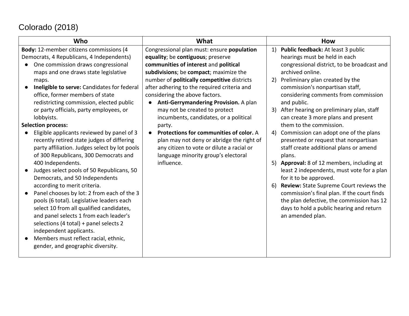# Colorado (2018)

| Who                                                                                                                                                                                                                                                                                                                                                                                                                                                                                                                                                                                                                                                                                                                                                                                                                                                                                                                                                                                                                                                                       | What                                                                                                                                                                                                                                                                                                                                                                                                                                                                                                                                                                                                                                    | How                                                                                                                                                                                                                                                                                                                                                                                                                                                                                                                                                                                                                                                                                                                                                                                                                                                                                |
|---------------------------------------------------------------------------------------------------------------------------------------------------------------------------------------------------------------------------------------------------------------------------------------------------------------------------------------------------------------------------------------------------------------------------------------------------------------------------------------------------------------------------------------------------------------------------------------------------------------------------------------------------------------------------------------------------------------------------------------------------------------------------------------------------------------------------------------------------------------------------------------------------------------------------------------------------------------------------------------------------------------------------------------------------------------------------|-----------------------------------------------------------------------------------------------------------------------------------------------------------------------------------------------------------------------------------------------------------------------------------------------------------------------------------------------------------------------------------------------------------------------------------------------------------------------------------------------------------------------------------------------------------------------------------------------------------------------------------------|------------------------------------------------------------------------------------------------------------------------------------------------------------------------------------------------------------------------------------------------------------------------------------------------------------------------------------------------------------------------------------------------------------------------------------------------------------------------------------------------------------------------------------------------------------------------------------------------------------------------------------------------------------------------------------------------------------------------------------------------------------------------------------------------------------------------------------------------------------------------------------|
| Body: 12-member citizens commissions (4<br>Democrats, 4 Republicans, 4 Independents)<br>One commission draws congressional<br>$\bullet$<br>maps and one draws state legislative<br>maps.<br>Ineligible to serve: Candidates for federal<br>office, former members of state<br>redistricting commission, elected public<br>or party officials, party employees, or<br>lobbyists.<br><b>Selection process:</b><br>Eligible applicants reviewed by panel of 3<br>recently retired state judges of differing<br>party affiliation. Judges select by lot pools<br>of 300 Republicans, 300 Democrats and<br>400 Independents.<br>Judges select pools of 50 Republicans, 50<br>Democrats, and 50 Independents<br>according to merit criteria.<br>Panel chooses by lot: 2 from each of the 3<br>pools (6 total). Legislative leaders each<br>select 10 from all qualified candidates,<br>and panel selects 1 from each leader's<br>selections (4 total) + panel selects 2<br>independent applicants.<br>Members must reflect racial, ethnic,<br>gender, and geographic diversity. | Congressional plan must: ensure population<br>equality; be contiguous; preserve<br>communities of interest and political<br>subdivisions; be compact; maximize the<br>number of politically competitive districts<br>after adhering to the required criteria and<br>considering the above factors.<br>Anti-Gerrymandering Provision. A plan<br>may not be created to protect<br>incumbents, candidates, or a political<br>party.<br>Protections for communities of color. A<br>$\bullet$<br>plan may not deny or abridge the right of<br>any citizen to vote or dilute a racial or<br>language minority group's electoral<br>influence. | Public feedback: At least 3 public<br>1)<br>hearings must be held in each<br>congressional district, to be broadcast and<br>archived online.<br>Preliminary plan created by the<br>2)<br>commission's nonpartisan staff,<br>considering comments from commission<br>and public.<br>After hearing on preliminary plan, staff<br>3)<br>can create 3 more plans and present<br>them to the commission.<br>Commission can adopt one of the plans<br>4)<br>presented or request that nonpartisan<br>staff create additional plans or amend<br>plans.<br>5) Approval: 8 of 12 members, including at<br>least 2 independents, must vote for a plan<br>for it to be approved.<br>Review: State Supreme Court reviews the<br>6)<br>commission's final plan. If the court finds<br>the plan defective, the commission has 12<br>days to hold a public hearing and return<br>an amended plan. |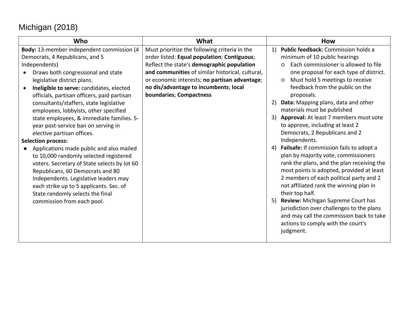# Michigan (2018)

| Who                                          | What                                             | How                                             |
|----------------------------------------------|--------------------------------------------------|-------------------------------------------------|
| Body: 13-member independent commission (4    | Must prioritize the following criteria in the    | Public feedback: Commission holds a<br>1)       |
| Democrats, 4 Republicans, and 5              | order listed: Equal population; Contiguous;      | minimum of 10 public hearings                   |
| Independents)                                | Reflect the state's demographic population       | Each commissioner is allowed to file<br>$\circ$ |
| Draws both congressional and state           | and communities of similar historical, cultural, | one proposal for each type of district.         |
| legislative district plans.                  | or economic interests; no partisan advantage;    | Must hold 5 meetings to receive<br>$\circ$      |
| Ineligible to serve: candidates, elected     | no dis/advantage to incumbents; local            | feedback from the public on the                 |
| officials, partisan officers, paid partisan  | boundaries; Compactness                          | proposals.                                      |
| consultants/staffers, state legislative      |                                                  | Data: Mapping plans, data and other<br>2)       |
| employees, lobbyists, other specified        |                                                  | materials must be published                     |
| state employees, & immediate families. 5-    |                                                  | 3) Approval: At least 7 members must vote       |
| year post-service ban on serving in          |                                                  | to approve, including at least 2                |
| elective partisan offices.                   |                                                  | Democrats, 2 Republicans and 2                  |
| <b>Selection process:</b>                    |                                                  | Independents.                                   |
| Applications made public and also mailed     |                                                  | 4) Failsafe: If commission fails to adopt a     |
| to 10,000 randomly selected registered       |                                                  | plan by majority vote, commissioners            |
| voters. Secretary of State selects by lot 60 |                                                  | rank the plans, and the plan receiving the      |
| Republicans, 60 Democrats and 80             |                                                  | most points is adopted, provided at least       |
| Independents. Legislative leaders may        |                                                  | 2 members of each political party and 2         |
| each strike up to 5 applicants. Sec. of      |                                                  | not affiliated rank the winning plan in         |
| State randomly selects the final             |                                                  | their top half.                                 |
| commission from each pool.                   |                                                  | Review: Michigan Supreme Court has<br>5)        |
|                                              |                                                  | jurisdiction over challenges to the plans       |
|                                              |                                                  | and may call the commission back to take        |
|                                              |                                                  | actions to comply with the court's              |
|                                              |                                                  | judgment.                                       |
|                                              |                                                  |                                                 |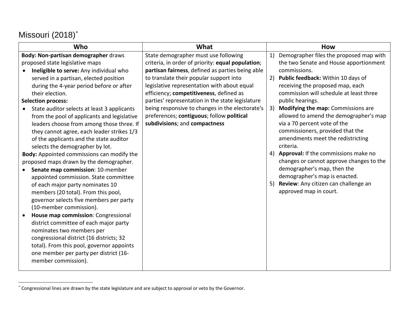# Missouri (2018)[\\*](#page-7-0)

 $\overline{a}$ 

| Who                                                  | What                                              | <b>How</b>                                    |
|------------------------------------------------------|---------------------------------------------------|-----------------------------------------------|
| Body: Non-partisan demographer draws                 | State demographer must use following              | Demographer files the proposed map with<br>1) |
| proposed state legislative maps                      | criteria, in order of priority: equal population; | the two Senate and House apportionment        |
| Ineligible to serve: Any individual who<br>$\bullet$ | partisan fairness, defined as parties being able  | commissions.                                  |
| served in a partisan, elected position               | to translate their popular support into           | 2)<br>Public feedback: Within 10 days of      |
| during the 4-year period before or after             | legislative representation with about equal       | receiving the proposed map, each              |
| their election.                                      | efficiency; competitiveness, defined as           | commission will schedule at least three       |
| <b>Selection process:</b>                            | parties' representation in the state legislature  | public hearings.                              |
| State auditor selects at least 3 applicants          | being responsive to changes in the electorate's   | Modifying the map: Commissions are<br>3)      |
| from the pool of applicants and legislative          | preferences; contiguous; follow political         | allowed to amend the demographer's map        |
| leaders choose from among those three. If            | subdivisions; and compactness                     | via a 70 percent vote of the                  |
| they cannot agree, each leader strikes 1/3           |                                                   | commissioners, provided that the              |
| of the applicants and the state auditor              |                                                   | amendments meet the redistricting             |
| selects the demographer by lot.                      |                                                   | criteria.                                     |
| Body: Appointed commissions can modify the           |                                                   | Approval: If the commissions make no<br>4)    |
| proposed maps drawn by the demographer.              |                                                   | changes or cannot approve changes to the      |
| Senate map commission: 10-member                     |                                                   | demographer's map, then the                   |
| appointed commission. State committee                |                                                   | demographer's map is enacted.                 |
| of each major party nominates 10                     |                                                   | Review: Any citizen can challenge an<br>5)    |
| members (20 total). From this pool,                  |                                                   | approved map in court.                        |
| governor selects five members per party              |                                                   |                                               |
| (10-member commission).                              |                                                   |                                               |
| House map commission: Congressional                  |                                                   |                                               |
| district committee of each major party               |                                                   |                                               |
| nominates two members per                            |                                                   |                                               |
| congressional district (16 districts; 32             |                                                   |                                               |
| total). From this pool, governor appoints            |                                                   |                                               |
| one member per party per district (16-               |                                                   |                                               |
| member commission).                                  |                                                   |                                               |
|                                                      |                                                   |                                               |

<span id="page-7-0"></span><sup>\*</sup> Congressional lines are drawn by the state legislature and are subject to approval or veto by the Governor.